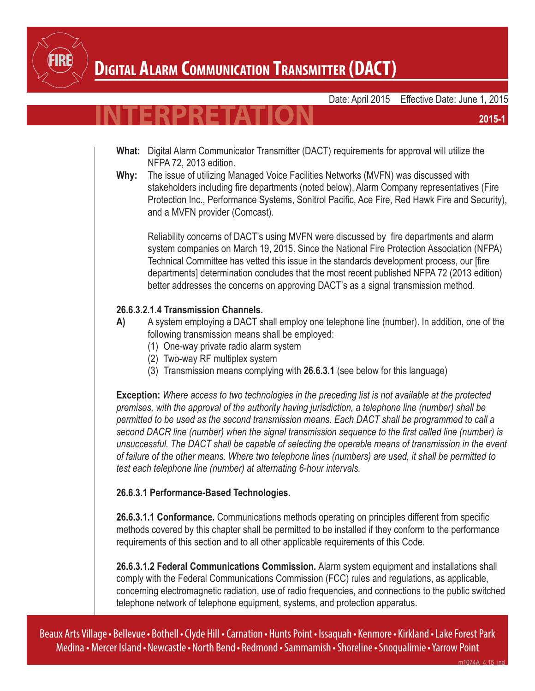

### **Digital Alarm Communication Transmitter (DACT)**

Date: April 2015 Effective Date: June 1, 2015

# **INTERPRETATION**

- **What:** Digital Alarm Communicator Transmitter (DACT) requirements for approval will utilize the NFPA 72, 2013 edition.
- **Why:** The issue of utilizing Managed Voice Facilities Networks (MVFN) was discussed with stakeholders including fire departments (noted below), Alarm Company representatives (Fire Protection Inc., Performance Systems, Sonitrol Pacific, Ace Fire, Red Hawk Fire and Security), and a MVFN provider (Comcast).

Reliability concerns of DACT's using MVFN were discussed by fire departments and alarm system companies on March 19, 2015. Since the National Fire Protection Association (NFPA) Technical Committee has vetted this issue in the standards development process, our [fire departments] determination concludes that the most recent published NFPA 72 (2013 edition) better addresses the concerns on approving DACT's as a signal transmission method.

#### **26.6.3.2.1.4 Transmission Channels.**

- **A)** A system employing a DACT shall employ one telephone line (number). In addition, one of the following transmission means shall be employed:
	- (1) One-way private radio alarm system
	- (2) Two-way RF multiplex system
	- (3) Transmission means complying with **26.6.3.1** (see below for this language)

**Exception:** *Where access to two technologies in the preceding list is not available at the protected premises, with the approval of the authority having jurisdiction, a telephone line (number) shall be permitted to be used as the second transmission means. Each DACT shall be programmed to call a second DACR line (number) when the signal transmission sequence to the first called line (number) is unsuccessful. The DACT shall be capable of selecting the operable means of transmission in the event of failure of the other means. Where two telephone lines (numbers) are used, it shall be permitted to test each telephone line (number) at alternating 6-hour intervals.*

#### **26.6.3.1 Performance-Based Technologies.**

**26.6.3.1.1 Conformance.** Communications methods operating on principles different from specific methods covered by this chapter shall be permitted to be installed if they conform to the performance requirements of this section and to all other applicable requirements of this Code.

**26.6.3.1.2 Federal Communications Commission.** Alarm system equipment and installations shall comply with the Federal Communications Commission (FCC) rules and regulations, as applicable, concerning electromagnetic radiation, use of radio frequencies, and connections to the public switched telephone network of telephone equipment, systems, and protection apparatus.

Beaux Arts Village• Bellevue• Bothell•Clyde Hill • Carnation • Hunts Point•Issaquah • Kenmore• Kirkland•Lake Forest Park Medina • Mercer Island• Newcastle• North Bend• Redmond•Sammamish •Shoreline•Snoqualimie•Yarrow Point

**2015-1**